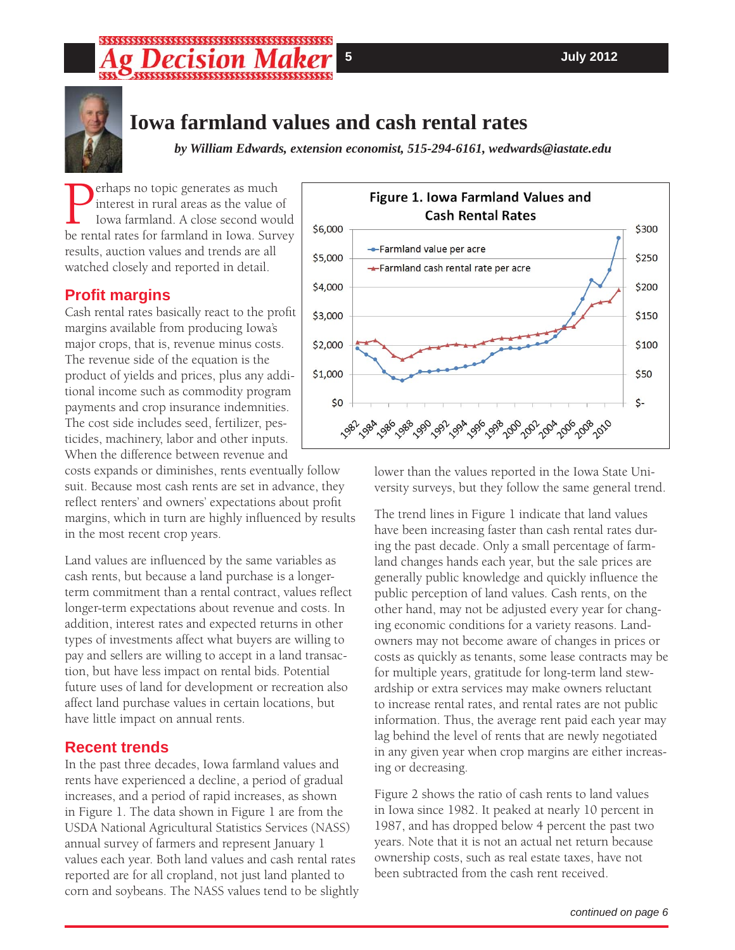# ,,,,,,,,,,,,,,,,,,,,,,,,, sssssssssssssssssssssss



# **Iowa farmland values and cash rental rates**

*by William Edwards, extension economist, 515-294-6161, wedwards@iastate.edu*

**Perhaps no topic generates as much interest in rural areas as the value of lowa farmland. A close second would be rental rates for farmland in Iowa. Survey** interest in rural areas as the value of Iowa farmland. A close second would results, auction values and trends are all watched closely and reported in detail.

### **Profi t margins**

Cash rental rates basically react to the profit margins available from producing Iowa's major crops, that is, revenue minus costs. The revenue side of the equation is the product of yields and prices, plus any additional income such as commodity program payments and crop insurance indemnities. The cost side includes seed, fertilizer, pesticides, machinery, labor and other inputs. When the difference between revenue and

costs expands or diminishes, rents eventually follow suit. Because most cash rents are set in advance, they reflect renters' and owners' expectations about profit margins, which in turn are highly influenced by results in the most recent crop years.

Land values are influenced by the same variables as cash rents, but because a land purchase is a longerterm commitment than a rental contract, values reflect longer-term expectations about revenue and costs. In addition, interest rates and expected returns in other types of investments affect what buyers are willing to pay and sellers are willing to accept in a land transaction, but have less impact on rental bids. Potential future uses of land for development or recreation also affect land purchase values in certain locations, but have little impact on annual rents.

### **Recent trends**

In the past three decades, Iowa farmland values and rents have experienced a decline, a period of gradual increases, and a period of rapid increases, as shown in Figure 1. The data shown in Figure 1 are from the USDA National Agricultural Statistics Services (NASS) annual survey of farmers and represent January 1 values each year. Both land values and cash rental rates reported are for all cropland, not just land planted to corn and soybeans. The NASS values tend to be slightly



lower than the values reported in the Iowa State University surveys, but they follow the same general trend.

The trend lines in Figure 1 indicate that land values have been increasing faster than cash rental rates during the past decade. Only a small percentage of farmland changes hands each year, but the sale prices are generally public knowledge and quickly influence the public perception of land values. Cash rents, on the other hand, may not be adjusted every year for changing economic conditions for a variety reasons. Landowners may not become aware of changes in prices or costs as quickly as tenants, some lease contracts may be for multiple years, gratitude for long-term land stewardship or extra services may make owners reluctant to increase rental rates, and rental rates are not public information. Thus, the average rent paid each year may lag behind the level of rents that are newly negotiated in any given year when crop margins are either increasing or decreasing.

Figure 2 shows the ratio of cash rents to land values in Iowa since 1982. It peaked at nearly 10 percent in 1987, and has dropped below 4 percent the past two years. Note that it is not an actual net return because ownership costs, such as real estate taxes, have not been subtracted from the cash rent received.